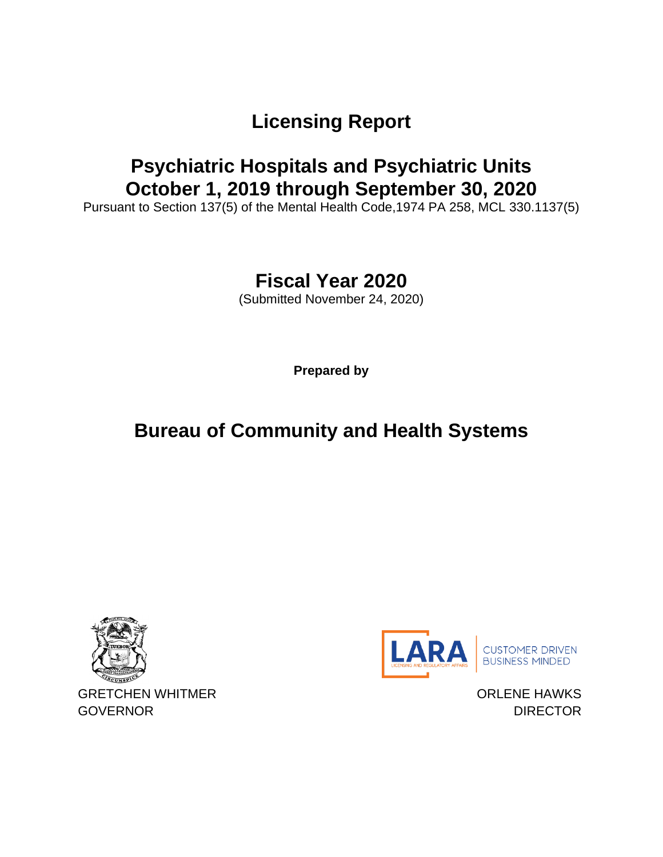# **Licensing Report**

### **Psychiatric Hospitals and Psychiatric Units October 1, 2019 through September 30, 2020**

Pursuant to Section 137(5) of the Mental Health Code,1974 PA 258, MCL 330.1137(5)

# **Fiscal Year 2020**

(Submitted November 24, 2020)

**Prepared by**

# **Bureau of Community and Health Systems**





ORLENE HAWKS **DIRECTOR**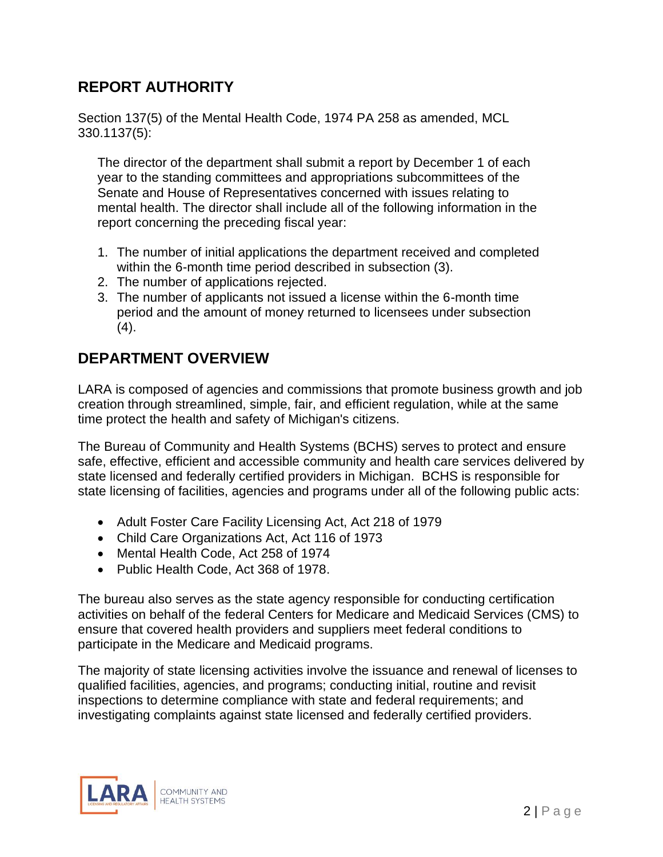### **REPORT AUTHORITY**

Section 137(5) of the Mental Health Code, 1974 PA 258 as amended, MCL 330.1137(5):

The director of the department shall submit a report by December 1 of each year to the standing committees and appropriations subcommittees of the Senate and House of Representatives concerned with issues relating to mental health. The director shall include all of the following information in the report concerning the preceding fiscal year:

- 1. The number of initial applications the department received and completed within the 6-month time period described in subsection (3).
- 2. The number of applications rejected.
- 3. The number of applicants not issued a license within the 6-month time period and the amount of money returned to licensees under subsection  $(4).$

### **DEPARTMENT OVERVIEW**

LARA is composed of agencies and commissions that promote business growth and job creation through streamlined, simple, fair, and efficient regulation, while at the same time protect the health and safety of Michigan's citizens.

The Bureau of Community and Health Systems (BCHS) serves to protect and ensure safe, effective, efficient and accessible community and health care services delivered by state licensed and federally certified providers in Michigan. BCHS is responsible for state licensing of facilities, agencies and programs under all of the following public acts:

- Adult Foster Care Facility Licensing Act, Act 218 of 1979
- Child Care Organizations Act, Act 116 of 1973
- Mental Health Code, Act 258 of 1974
- Public Health Code, Act 368 of 1978.

The bureau also serves as the state agency responsible for conducting certification activities on behalf of the federal Centers for Medicare and Medicaid Services (CMS) to ensure that covered health providers and suppliers meet federal conditions to participate in the Medicare and Medicaid programs.

The majority of state licensing activities involve the issuance and renewal of licenses to qualified facilities, agencies, and programs; conducting initial, routine and revisit inspections to determine compliance with state and federal requirements; and investigating complaints against state licensed and federally certified providers.